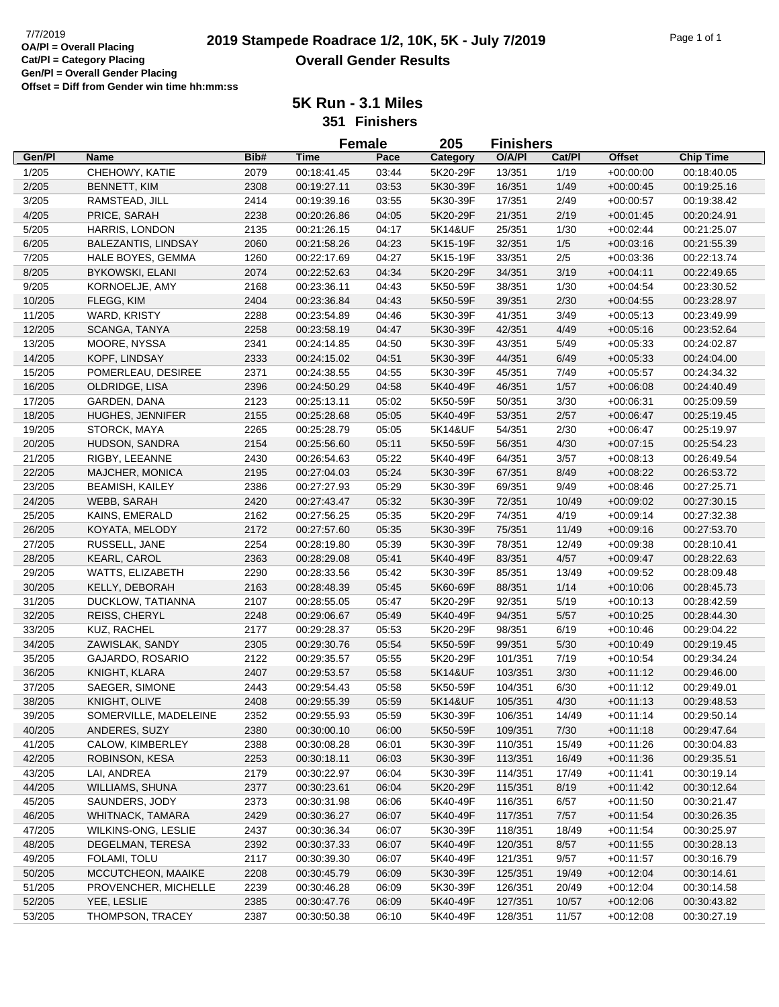|        |                         |      |             | <b>Female</b> | 205      | <b>Finishers</b> |        |               |                  |
|--------|-------------------------|------|-------------|---------------|----------|------------------|--------|---------------|------------------|
| Gen/Pl | <b>Name</b>             | Bib# | Time        | Pace          | Category | O/A/PI           | Cat/Pl | <b>Offset</b> | <b>Chip Time</b> |
| 1/205  | CHEHOWY, KATIE          | 2079 | 00:18:41.45 | 03:44         | 5K20-29F | 13/351           | 1/19   | $+00:00:00$   | 00:18:40.05      |
| 2/205  | <b>BENNETT, KIM</b>     | 2308 | 00:19:27.11 | 03:53         | 5K30-39F | 16/351           | 1/49   | $+00:00:45$   | 00:19:25.16      |
| 3/205  | RAMSTEAD, JILL          | 2414 | 00:19:39.16 | 03:55         | 5K30-39F | 17/351           | 2/49   | $+00:00:57$   | 00:19:38.42      |
| 4/205  | PRICE, SARAH            | 2238 | 00:20:26.86 | 04:05         | 5K20-29F | 21/351           | 2/19   | $+00:01:45$   | 00:20:24.91      |
| 5/205  | HARRIS, LONDON          | 2135 | 00:21:26.15 | 04:17         | 5K14&UF  | 25/351           | 1/30   | $+00:02:44$   | 00:21:25.07      |
| 6/205  | BALEZANTIS, LINDSAY     | 2060 | 00:21:58.26 | 04:23         | 5K15-19F | 32/351           | 1/5    | $+00:03:16$   | 00:21:55.39      |
| 7/205  | HALE BOYES, GEMMA       | 1260 | 00:22:17.69 | 04:27         | 5K15-19F | 33/351           | 2/5    | $+00:03:36$   | 00:22:13.74      |
| 8/205  | <b>BYKOWSKI, ELANI</b>  | 2074 | 00:22:52.63 | 04:34         | 5K20-29F | 34/351           | 3/19   | $+00:04:11$   | 00:22:49.65      |
| 9/205  | KORNOELJE, AMY          | 2168 | 00:23:36.11 | 04:43         | 5K50-59F | 38/351           | 1/30   | $+00:04:54$   | 00:23:30.52      |
| 10/205 | FLEGG, KIM              | 2404 | 00:23:36.84 | 04:43         | 5K50-59F | 39/351           | 2/30   | $+00:04:55$   | 00:23:28.97      |
| 11/205 | WARD, KRISTY            | 2288 | 00:23:54.89 | 04:46         | 5K30-39F | 41/351           | 3/49   | $+00:05:13$   | 00:23:49.99      |
| 12/205 | SCANGA, TANYA           | 2258 | 00:23:58.19 | 04:47         | 5K30-39F | 42/351           | 4/49   | $+00.05:16$   | 00:23:52.64      |
| 13/205 | MOORE, NYSSA            | 2341 | 00:24:14.85 | 04:50         | 5K30-39F | 43/351           | 5/49   | $+00:05:33$   | 00:24:02.87      |
| 14/205 | KOPF, LINDSAY           | 2333 | 00:24:15.02 | 04:51         | 5K30-39F | 44/351           | 6/49   | $+00:05:33$   | 00:24:04.00      |
| 15/205 | POMERLEAU, DESIREE      | 2371 | 00:24:38.55 | 04:55         | 5K30-39F | 45/351           | 7/49   | $+00:05:57$   | 00:24:34.32      |
| 16/205 | OLDRIDGE, LISA          | 2396 | 00:24:50.29 | 04:58         | 5K40-49F | 46/351           | 1/57   | $+00:06:08$   | 00:24:40.49      |
| 17/205 | GARDEN, DANA            | 2123 | 00:25:13.11 | 05:02         | 5K50-59F | 50/351           | 3/30   | $+00:06:31$   | 00:25:09.59      |
|        | <b>HUGHES, JENNIFER</b> | 2155 | 00:25:28.68 | 05:05         | 5K40-49F | 53/351           | 2/57   |               | 00:25:19.45      |
| 18/205 | STORCK, MAYA            |      |             |               |          |                  |        | $+00.06:47$   |                  |
| 19/205 |                         | 2265 | 00:25:28.79 | 05:05         | 5K14&UF  | 54/351           | 2/30   | $+00:06:47$   | 00:25:19.97      |
| 20/205 | HUDSON, SANDRA          | 2154 | 00:25:56.60 | 05:11         | 5K50-59F | 56/351           | 4/30   | $+00:07:15$   | 00:25:54.23      |
| 21/205 | RIGBY, LEEANNE          | 2430 | 00:26:54.63 | 05:22         | 5K40-49F | 64/351           | 3/57   | $+00:08:13$   | 00:26:49.54      |
| 22/205 | MAJCHER, MONICA         | 2195 | 00:27:04.03 | 05:24         | 5K30-39F | 67/351           | 8/49   | $+00:08:22$   | 00:26:53.72      |
| 23/205 | <b>BEAMISH, KAILEY</b>  | 2386 | 00:27:27.93 | 05:29         | 5K30-39F | 69/351           | 9/49   | $+00:08:46$   | 00:27:25.71      |
| 24/205 | WEBB, SARAH             | 2420 | 00:27:43.47 | 05:32         | 5K30-39F | 72/351           | 10/49  | $+00.09:02$   | 00:27:30.15      |
| 25/205 | KAINS, EMERALD          | 2162 | 00:27:56.25 | 05:35         | 5K20-29F | 74/351           | 4/19   | $+00:09:14$   | 00:27:32.38      |
| 26/205 | KOYATA, MELODY          | 2172 | 00:27:57.60 | 05:35         | 5K30-39F | 75/351           | 11/49  | $+00:09:16$   | 00:27:53.70      |
| 27/205 | RUSSELL, JANE           | 2254 | 00:28:19.80 | 05:39         | 5K30-39F | 78/351           | 12/49  | $+00.0938$    | 00:28:10.41      |
| 28/205 | <b>KEARL, CAROL</b>     | 2363 | 00:28:29.08 | 05:41         | 5K40-49F | 83/351           | 4/57   | $+00:09:47$   | 00:28:22.63      |
| 29/205 | WATTS, ELIZABETH        | 2290 | 00:28:33.56 | 05:42         | 5K30-39F | 85/351           | 13/49  | $+00:09:52$   | 00:28:09.48      |
| 30/205 | KELLY, DEBORAH          | 2163 | 00:28:48.39 | 05:45         | 5K60-69F | 88/351           | 1/14   | $+00:10:06$   | 00:28:45.73      |
| 31/205 | DUCKLOW, TATIANNA       | 2107 | 00:28:55.05 | 05:47         | 5K20-29F | 92/351           | 5/19   | $+00:10:13$   | 00:28:42.59      |
| 32/205 | REISS, CHERYL           | 2248 | 00:29:06.67 | 05:49         | 5K40-49F | 94/351           | 5/57   | $+00:10:25$   | 00:28:44.30      |
| 33/205 | <b>KUZ, RACHEL</b>      | 2177 | 00:29:28.37 | 05:53         | 5K20-29F | 98/351           | 6/19   | $+00:10:46$   | 00:29:04.22      |
| 34/205 | ZAWISLAK, SANDY         | 2305 | 00:29:30.76 | 05:54         | 5K50-59F | 99/351           | 5/30   | $+00:10:49$   | 00:29:19.45      |
| 35/205 | GAJARDO, ROSARIO        | 2122 | 00:29:35.57 | 05:55         | 5K20-29F | 101/351          | 7/19   | $+00:10:54$   | 00:29:34.24      |
| 36/205 | KNIGHT, KLARA           | 2407 | 00:29:53.57 | 05:58         | 5K14&UF  | 103/351          | 3/30   | $+00:11:12$   | 00:29:46.00      |
| 37/205 | SAEGER, SIMONE          | 2443 | 00:29:54.43 | 05:58         | 5K50-59F | 104/351          | 6/30   | $+00:11:12$   | 00:29:49.01      |
| 38/205 | KNIGHT, OLIVE           | 2408 | 00:29:55.39 | 05:59         | 5K14&UF  | 105/351          | 4/30   | $+00:11:13$   | 00:29:48.53      |
| 39/205 | SOMERVILLE, MADELEINE   | 2352 | 00:29:55.93 | 05:59         | 5K30-39F | 106/351          | 14/49  | $+00:11:14$   | 00:29:50.14      |
| 40/205 | ANDERES, SUZY           | 2380 | 00:30:00.10 | 06:00         | 5K50-59F | 109/351          | 7/30   | $+00:11:18$   | 00:29:47.64      |
| 41/205 | CALOW, KIMBERLEY        | 2388 | 00:30:08.28 | 06:01         | 5K30-39F | 110/351          | 15/49  | $+00:11:26$   | 00:30:04.83      |
| 42/205 | ROBINSON, KESA          | 2253 | 00:30:18.11 | 06:03         | 5K30-39F | 113/351          | 16/49  | $+00:11:36$   | 00:29:35.51      |
| 43/205 | LAI, ANDREA             | 2179 | 00:30:22.97 | 06:04         | 5K30-39F | 114/351          | 17/49  | $+00:11:41$   | 00:30:19.14      |
| 44/205 | <b>WILLIAMS, SHUNA</b>  | 2377 | 00:30:23.61 | 06:04         | 5K20-29F | 115/351          | 8/19   | $+00:11:42$   | 00:30:12.64      |
| 45/205 | SAUNDERS, JODY          | 2373 | 00:30:31.98 | 06:06         | 5K40-49F | 116/351          | 6/57   | $+00:11:50$   | 00:30:21.47      |
| 46/205 | WHITNACK, TAMARA        | 2429 | 00:30:36.27 | 06:07         | 5K40-49F | 117/351          | 7/57   | $+00:11:54$   | 00:30:26.35      |
| 47/205 | WILKINS-ONG, LESLIE     | 2437 | 00:30:36.34 | 06:07         | 5K30-39F | 118/351          | 18/49  | $+00:11:54$   | 00:30:25.97      |
| 48/205 | DEGELMAN, TERESA        | 2392 | 00:30:37.33 | 06:07         | 5K40-49F | 120/351          | 8/57   | $+00:11:55$   | 00:30:28.13      |
| 49/205 | FOLAMI, TOLU            | 2117 | 00:30:39.30 | 06:07         | 5K40-49F | 121/351          | 9/57   | $+00:11:57$   | 00:30:16.79      |
| 50/205 | MCCUTCHEON, MAAIKE      | 2208 | 00:30:45.79 | 06:09         | 5K30-39F | 125/351          | 19/49  | $+00:12:04$   | 00:30:14.61      |
| 51/205 | PROVENCHER, MICHELLE    | 2239 | 00:30:46.28 | 06:09         | 5K30-39F | 126/351          | 20/49  | $+00:12:04$   | 00:30:14.58      |
| 52/205 | YEE, LESLIE             | 2385 | 00:30:47.76 | 06:09         | 5K40-49F | 127/351          | 10/57  | $+00:12:06$   | 00:30:43.82      |
| 53/205 | THOMPSON, TRACEY        | 2387 | 00:30:50.38 | 06:10         | 5K40-49F | 128/351          | 11/57  | $+00:12:08$   | 00:30:27.19      |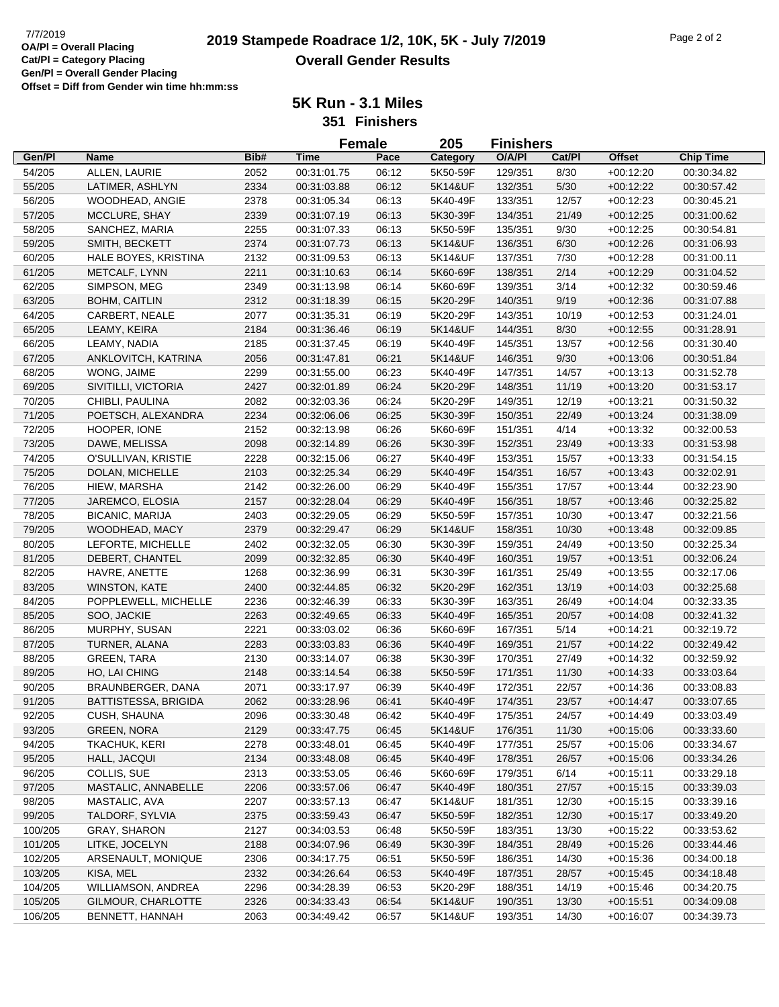## **2019 Stampede Roadrace 1/2, 10K, 5K - July 7/2019** 7/7/2019 Page 2 of 2 **Overall Gender Results**

|         |                                 |      |                            | <b>Female</b> | 205      | <b>Finishers</b> |        |               |                  |
|---------|---------------------------------|------|----------------------------|---------------|----------|------------------|--------|---------------|------------------|
| Gen/Pl  | <b>Name</b>                     | Bib# | Time                       | Pace          | Category | O/A/PI           | Cat/Pl | <b>Offset</b> | <b>Chip Time</b> |
| 54/205  | ALLEN, LAURIE                   | 2052 | 00:31:01.75                | 06:12         | 5K50-59F | 129/351          | 8/30   | $+00:12:20$   | 00:30:34.82      |
| 55/205  | LATIMER, ASHLYN                 | 2334 | 00:31:03.88                | 06:12         | 5K14&UF  | 132/351          | $5/30$ | $+00:12:22$   | 00:30:57.42      |
| 56/205  | WOODHEAD, ANGIE                 | 2378 | 00:31:05.34                | 06:13         | 5K40-49F | 133/351          | 12/57  | $+00:12:23$   | 00:30:45.21      |
| 57/205  | MCCLURE, SHAY                   | 2339 | 00:31:07.19                | 06:13         | 5K30-39F | 134/351          | 21/49  | $+00:12:25$   | 00:31:00.62      |
| 58/205  | SANCHEZ, MARIA                  | 2255 | 00:31:07.33                | 06:13         | 5K50-59F | 135/351          | 9/30   | $+00:12:25$   | 00:30:54.81      |
| 59/205  | SMITH, BECKETT                  | 2374 | 00:31:07.73                | 06:13         | 5K14&UF  | 136/351          | 6/30   | $+00:12:26$   | 00:31:06.93      |
| 60/205  | HALE BOYES, KRISTINA            | 2132 | 00:31:09.53                | 06:13         | 5K14&UF  | 137/351          | 7/30   | $+00:12:28$   | 00:31:00.11      |
| 61/205  | METCALF, LYNN                   | 2211 | 00:31:10.63                | 06:14         | 5K60-69F | 138/351          | 2/14   | $+00:12:29$   | 00:31:04.52      |
| 62/205  | SIMPSON, MEG                    | 2349 | 00:31:13.98                | 06:14         | 5K60-69F | 139/351          | 3/14   | $+00:12:32$   | 00:30:59.46      |
| 63/205  | <b>BOHM, CAITLIN</b>            | 2312 | 00:31:18.39                | 06:15         | 5K20-29F | 140/351          | 9/19   | $+00:12:36$   | 00:31:07.88      |
| 64/205  | CARBERT, NEALE                  | 2077 | 00:31:35.31                | 06:19         | 5K20-29F | 143/351          | 10/19  | $+00:12:53$   | 00:31:24.01      |
| 65/205  | LEAMY, KEIRA                    | 2184 | 00:31:36.46                | 06:19         | 5K14&UF  | 144/351          | 8/30   | $+00:12:55$   | 00:31:28.91      |
| 66/205  | LEAMY, NADIA                    | 2185 | 00:31:37.45                | 06:19         | 5K40-49F | 145/351          | 13/57  | $+00:12:56$   | 00:31:30.40      |
| 67/205  | ANKLOVITCH, KATRINA             | 2056 | 00:31:47.81                | 06:21         | 5K14&UF  | 146/351          | 9/30   | $+00:13:06$   | 00:30:51.84      |
| 68/205  | WONG, JAIME                     | 2299 | 00:31:55.00                | 06:23         | 5K40-49F | 147/351          | 14/57  | $+00:13:13$   | 00:31:52.78      |
| 69/205  | SIVITILLI, VICTORIA             | 2427 | 00:32:01.89                | 06:24         | 5K20-29F | 148/351          | 11/19  | $+00:13:20$   | 00:31:53.17      |
| 70/205  | CHIBLI, PAULINA                 | 2082 | 00:32:03.36                | 06:24         | 5K20-29F | 149/351          | 12/19  | $+00:13:21$   | 00:31:50.32      |
| 71/205  | POETSCH, ALEXANDRA              | 2234 | 00:32:06.06                | 06:25         | 5K30-39F | 150/351          | 22/49  | $+00:13:24$   | 00:31:38.09      |
| 72/205  | HOOPER, IONE                    | 2152 | 00:32:13.98                | 06:26         | 5K60-69F | 151/351          | 4/14   | $+00:13:32$   | 00:32:00.53      |
| 73/205  | DAWE, MELISSA                   | 2098 |                            | 06:26         | 5K30-39F | 152/351          | 23/49  | $+00:13:33$   | 00:31:53.98      |
| 74/205  | O'SULLIVAN, KRISTIE             | 2228 | 00:32:14.89<br>00:32:15.06 | 06:27         | 5K40-49F | 153/351          | 15/57  | $+00:13:33$   | 00:31:54.15      |
|         |                                 |      |                            |               |          |                  |        |               |                  |
| 75/205  | DOLAN, MICHELLE<br>HIEW, MARSHA | 2103 | 00:32:25.34<br>00:32:26.00 | 06:29         | 5K40-49F | 154/351          | 16/57  | $+00:13:43$   | 00:32:02.91      |
| 76/205  |                                 | 2142 |                            | 06:29         | 5K40-49F | 155/351          | 17/57  | $+00:13:44$   | 00:32:23.90      |
| 77/205  | JAREMCO, ELOSIA                 | 2157 | 00:32:28.04                | 06:29         | 5K40-49F | 156/351          | 18/57  | $+00:13:46$   | 00:32:25.82      |
| 78/205  | <b>BICANIC, MARIJA</b>          | 2403 | 00:32:29.05                | 06:29         | 5K50-59F | 157/351          | 10/30  | $+00:13:47$   | 00:32:21.56      |
| 79/205  | WOODHEAD, MACY                  | 2379 | 00:32:29.47                | 06:29         | 5K14&UF  | 158/351          | 10/30  | $+00:13:48$   | 00:32:09.85      |
| 80/205  | LEFORTE, MICHELLE               | 2402 | 00:32:32.05                | 06:30         | 5K30-39F | 159/351          | 24/49  | $+00:13:50$   | 00:32:25.34      |
| 81/205  | DEBERT, CHANTEL                 | 2099 | 00:32:32.85                | 06:30         | 5K40-49F | 160/351          | 19/57  | $+00:13:51$   | 00:32:06.24      |
| 82/205  | HAVRE, ANETTE                   | 1268 | 00:32:36.99                | 06:31         | 5K30-39F | 161/351          | 25/49  | $+00:13:55$   | 00:32:17.06      |
| 83/205  | <b>WINSTON, KATE</b>            | 2400 | 00:32:44.85                | 06:32         | 5K20-29F | 162/351          | 13/19  | $+00:14:03$   | 00:32:25.68      |
| 84/205  | POPPLEWELL, MICHELLE            | 2236 | 00:32:46.39                | 06:33         | 5K30-39F | 163/351          | 26/49  | $+00:14:04$   | 00:32:33.35      |
| 85/205  | SOO, JACKIE                     | 2263 | 00:32:49.65                | 06:33         | 5K40-49F | 165/351          | 20/57  | $+00:14:08$   | 00:32:41.32      |
| 86/205  | MURPHY, SUSAN                   | 2221 | 00:33:03.02                | 06:36         | 5K60-69F | 167/351          | 5/14   | $+00:14:21$   | 00:32:19.72      |
| 87/205  | TURNER, ALANA                   | 2283 | 00:33:03.83                | 06:36         | 5K40-49F | 169/351          | 21/57  | $+00:14:22$   | 00:32:49.42      |
| 88/205  | <b>GREEN, TARA</b>              | 2130 | 00:33:14.07                | 06:38         | 5K30-39F | 170/351          | 27/49  | $+00:14:32$   | 00:32:59.92      |
| 89/205  | HO, LAI CHING                   | 2148 | 00:33:14.54                | 06:38         | 5K50-59F | 171/351          | 11/30  | $+00:14:33$   | 00:33:03.64      |
| 90/205  | BRAUNBERGER, DANA               | 2071 | 00:33:17.97                | 06:39         | 5K40-49F | 172/351          | 22/57  | $+00:14:36$   | 00:33:08.83      |
| 91/205  | <b>BATTISTESSA, BRIGIDA</b>     | 2062 | 00:33:28.96                | 06:41         | 5K40-49F | 174/351          | 23/57  | $+00:14:47$   | 00:33:07.65      |
| 92/205  | CUSH, SHAUNA                    | 2096 | 00:33:30.48                | 06:42         | 5K40-49F | 175/351          | 24/57  | $+00:14:49$   | 00:33:03.49      |
| 93/205  | <b>GREEN, NORA</b>              | 2129 | 00:33:47.75                | 06:45         | 5K14&UF  | 176/351          | 11/30  | $+00:15:06$   | 00:33:33.60      |
| 94/205  | TKACHUK, KERI                   | 2278 | 00:33:48.01                | 06:45         | 5K40-49F | 177/351          | 25/57  | $+00:15:06$   | 00:33:34.67      |
| 95/205  | HALL, JACQUI                    | 2134 | 00:33:48.08                | 06:45         | 5K40-49F | 178/351          | 26/57  | $+00:15:06$   | 00:33:34.26      |
| 96/205  | COLLIS, SUE                     | 2313 | 00:33:53.05                | 06:46         | 5K60-69F | 179/351          | 6/14   | $+00:15:11$   | 00:33:29.18      |
| 97/205  | MASTALIC, ANNABELLE             | 2206 | 00:33:57.06                | 06:47         | 5K40-49F | 180/351          | 27/57  | $+00:15:15$   | 00:33:39.03      |
| 98/205  | MASTALIC, AVA                   | 2207 | 00:33:57.13                | 06:47         | 5K14&UF  | 181/351          | 12/30  | $+00:15:15$   | 00:33:39.16      |
| 99/205  | TALDORF, SYLVIA                 | 2375 | 00:33:59.43                | 06:47         | 5K50-59F | 182/351          | 12/30  | $+00:15:17$   | 00:33:49.20      |
| 100/205 | <b>GRAY, SHARON</b>             | 2127 | 00:34:03.53                | 06:48         | 5K50-59F | 183/351          | 13/30  | $+00:15:22$   | 00:33:53.62      |
| 101/205 | LITKE, JOCELYN                  | 2188 | 00:34:07.96                | 06:49         | 5K30-39F | 184/351          | 28/49  | $+00:15:26$   | 00:33:44.46      |
| 102/205 | ARSENAULT, MONIQUE              | 2306 | 00:34:17.75                | 06:51         | 5K50-59F | 186/351          | 14/30  | $+00:15:36$   | 00:34:00.18      |
| 103/205 | KISA, MEL                       | 2332 | 00:34:26.64                | 06:53         | 5K40-49F | 187/351          | 28/57  | $+00:15:45$   | 00:34:18.48      |
| 104/205 | WILLIAMSON, ANDREA              | 2296 | 00:34:28.39                | 06:53         | 5K20-29F | 188/351          | 14/19  | $+00:15:46$   | 00:34:20.75      |
| 105/205 | GILMOUR, CHARLOTTE              | 2326 | 00:34:33.43                | 06:54         | 5K14&UF  | 190/351          | 13/30  | $+00:15:51$   | 00:34:09.08      |
| 106/205 | BENNETT, HANNAH                 | 2063 | 00:34:49.42                | 06:57         | 5K14&UF  | 193/351          | 14/30  | $+00:16:07$   | 00:34:39.73      |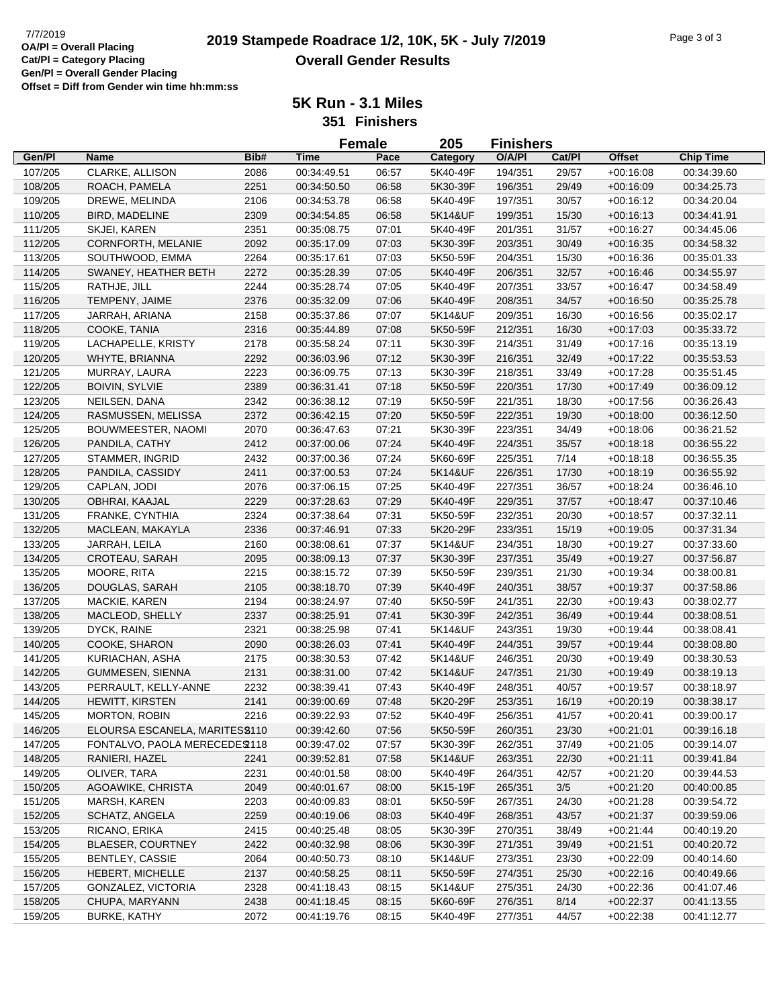|         |                                |      |             | <b>Female</b> | 205      | <b>Finishers</b> |        |               |                  |
|---------|--------------------------------|------|-------------|---------------|----------|------------------|--------|---------------|------------------|
| Gen/Pl  | Name                           | Bib# | <b>Time</b> | Pace          | Category | O/A/PI           | Cat/Pl | <b>Offset</b> | <b>Chip Time</b> |
| 107/205 | CLARKE, ALLISON                | 2086 | 00:34:49.51 | 06:57         | 5K40-49F | 194/351          | 29/57  | $+00.16.08$   | 00:34:39.60      |
| 108/205 | ROACH, PAMELA                  | 2251 | 00:34:50.50 | 06:58         | 5K30-39F | 196/351          | 29/49  | $+00:16:09$   | 00:34:25.73      |
| 109/205 | DREWE, MELINDA                 | 2106 | 00:34:53.78 | 06:58         | 5K40-49F | 197/351          | 30/57  | $+00:16:12$   | 00:34:20.04      |
| 110/205 | BIRD, MADELINE                 | 2309 | 00:34:54.85 | 06:58         | 5K14&UF  | 199/351          | 15/30  | $+00:16:13$   | 00:34:41.91      |
| 111/205 | SKJEI, KAREN                   | 2351 | 00:35:08.75 | 07:01         | 5K40-49F | 201/351          | 31/57  | $+00:16:27$   | 00:34:45.06      |
| 112/205 | CORNFORTH, MELANIE             | 2092 | 00:35:17.09 | 07:03         | 5K30-39F | 203/351          | 30/49  | $+00:16:35$   | 00:34:58.32      |
| 113/205 | SOUTHWOOD, EMMA                | 2264 | 00:35:17.61 | 07:03         | 5K50-59F | 204/351          | 15/30  | $+00:16:36$   | 00:35:01.33      |
| 114/205 | SWANEY, HEATHER BETH           | 2272 | 00:35:28.39 | 07:05         | 5K40-49F | 206/351          | 32/57  | $+00:16:46$   | 00:34:55.97      |
| 115/205 | RATHJE, JILL                   | 2244 | 00:35:28.74 | 07:05         | 5K40-49F | 207/351          | 33/57  | $+00:16:47$   | 00:34:58.49      |
| 116/205 | TEMPENY, JAIME                 | 2376 | 00:35:32.09 | 07:06         | 5K40-49F | 208/351          | 34/57  | $+00:16:50$   | 00:35:25.78      |
| 117/205 | JARRAH, ARIANA                 | 2158 | 00:35:37.86 | 07:07         | 5K14&UF  | 209/351          | 16/30  | $+00:16:56$   | 00:35:02.17      |
| 118/205 | COOKE, TANIA                   | 2316 | 00:35:44.89 | 07:08         | 5K50-59F | 212/351          | 16/30  | $+00:17:03$   | 00:35:33.72      |
| 119/205 | LACHAPELLE, KRISTY             | 2178 | 00:35:58.24 | 07:11         | 5K30-39F | 214/351          | 31/49  | $+00:17:16$   | 00:35:13.19      |
| 120/205 | WHYTE, BRIANNA                 | 2292 | 00:36:03.96 | 07:12         | 5K30-39F | 216/351          | 32/49  | $+00:17:22$   | 00:35:53.53      |
| 121/205 | MURRAY, LAURA                  | 2223 | 00:36:09.75 | 07:13         | 5K30-39F | 218/351          | 33/49  | $+00:17:28$   | 00:35:51.45      |
| 122/205 | <b>BOIVIN, SYLVIE</b>          | 2389 | 00:36:31.41 | 07:18         | 5K50-59F | 220/351          | 17/30  | $+00:17:49$   | 00:36:09.12      |
| 123/205 | NEILSEN, DANA                  | 2342 | 00:36:38.12 | 07:19         | 5K50-59F | 221/351          | 18/30  | $+00:17:56$   | 00:36:26.43      |
| 124/205 | RASMUSSEN, MELISSA             | 2372 | 00:36:42.15 | 07:20         | 5K50-59F | 222/351          | 19/30  | $+00:18:00$   | 00:36:12.50      |
| 125/205 | BOUWMEESTER, NAOMI             | 2070 | 00:36:47.63 | 07:21         | 5K30-39F | 223/351          | 34/49  | $+00:18:06$   | 00:36:21.52      |
| 126/205 | PANDILA, CATHY                 | 2412 | 00:37:00.06 | 07:24         | 5K40-49F | 224/351          | 35/57  | $+00:18:18$   | 00:36:55.22      |
| 127/205 | STAMMER, INGRID                | 2432 | 00:37:00.36 | 07:24         | 5K60-69F | 225/351          | 7/14   | $+00:18:18$   | 00:36:55.35      |
| 128/205 | PANDILA, CASSIDY               | 2411 | 00:37:00.53 | 07:24         | 5K14&UF  | 226/351          | 17/30  | $+00:18:19$   | 00:36:55.92      |
| 129/205 | CAPLAN, JODI                   | 2076 | 00:37:06.15 | 07:25         | 5K40-49F | 227/351          | 36/57  | $+00:18:24$   | 00:36:46.10      |
| 130/205 | OBHRAI, KAAJAL                 | 2229 | 00:37:28.63 | 07:29         | 5K40-49F | 229/351          | 37/57  | $+00:18:47$   | 00:37:10.46      |
| 131/205 | FRANKE, CYNTHIA                | 2324 | 00:37:38.64 | 07:31         | 5K50-59F | 232/351          | 20/30  | $+00:18:57$   | 00:37:32.11      |
| 132/205 | MACLEAN, MAKAYLA               | 2336 | 00:37:46.91 | 07:33         | 5K20-29F | 233/351          | 15/19  | $+00:19:05$   | 00:37:31.34      |
| 133/205 | JARRAH, LEILA                  | 2160 | 00:38:08.61 | 07:37         | 5K14&UF  | 234/351          | 18/30  | $+00:19:27$   | 00:37:33.60      |
| 134/205 | CROTEAU, SARAH                 | 2095 | 00:38:09.13 | 07:37         | 5K30-39F | 237/351          | 35/49  | $+00:19:27$   | 00:37:56.87      |
| 135/205 | MOORE, RITA                    | 2215 | 00:38:15.72 | 07:39         | 5K50-59F | 239/351          | 21/30  | $+00:19:34$   | 00:38:00.81      |
| 136/205 | DOUGLAS, SARAH                 | 2105 | 00:38:18.70 | 07:39         | 5K40-49F | 240/351          | 38/57  | $+00:19:37$   | 00:37:58.86      |
| 137/205 | MACKIE, KAREN                  | 2194 | 00:38:24.97 | 07:40         | 5K50-59F | 241/351          | 22/30  | $+00:19:43$   | 00:38:02.77      |
| 138/205 | MACLEOD, SHELLY                | 2337 | 00:38:25.91 | 07:41         | 5K30-39F | 242/351          | 36/49  | $+00:19:44$   | 00:38:08.51      |
| 139/205 | DYCK, RAINE                    | 2321 | 00:38:25.98 | 07:41         | 5K14&UF  | 243/351          | 19/30  | $+00:19:44$   | 00:38:08.41      |
| 140/205 | COOKE, SHARON                  | 2090 | 00:38:26.03 | 07:41         | 5K40-49F | 244/351          | 39/57  | $+00:19:44$   | 00:38:08.80      |
| 141/205 | KURIACHAN, ASHA                | 2175 | 00:38:30.53 | 07:42         | 5K14&UF  | 246/351          | 20/30  | $+00:19:49$   | 00:38:30.53      |
| 142/205 | GUMMESEN, SIENNA               | 2131 | 00:38:31.00 | 07:42         | 5K14&UF  | 247/351          | 21/30  | $+00:19:49$   | 00:38:19.13      |
| 143/205 | PERRAULT, KELLY-ANNE           | 2232 | 00:38:39.41 | 07:43         | 5K40-49F | 248/351          | 40/57  | $+00:19:57$   | 00:38:18.97      |
| 144/205 | <b>HEWITT, KIRSTEN</b>         | 2141 | 00:39:00.69 | 07:48         | 5K20-29F | 253/351          | 16/19  | $+00:20:19$   | 00:38:38.17      |
| 145/205 | MORTON, ROBIN                  | 2216 | 00:39:22.93 | 07:52         | 5K40-49F | 256/351          | 41/57  | $+00:20:41$   | 00:39:00.17      |
| 146/205 | ELOURSA ESCANELA, MARITES 9110 |      | 00:39:42.60 | 07:56         | 5K50-59F | 260/351          | 23/30  | $+00:21:01$   | 00:39:16.18      |
| 147/205 | FONTALVO, PAOLA MERECEDE \$118 |      | 00:39:47.02 | 07:57         | 5K30-39F | 262/351          | 37/49  | $+00:21:05$   | 00:39:14.07      |
| 148/205 | RANIERI, HAZEL                 | 2241 | 00:39:52.81 | 07:58         | 5K14&UF  | 263/351          | 22/30  | $+00:21:11$   | 00:39:41.84      |
| 149/205 | OLIVER, TARA                   | 2231 | 00:40:01.58 | 08:00         | 5K40-49F | 264/351          | 42/57  | $+00:21:20$   | 00:39:44.53      |
| 150/205 | AGOAWIKE, CHRISTA              | 2049 | 00:40:01.67 | 08:00         | 5K15-19F | 265/351          | 3/5    | $+00:21:20$   | 00:40:00.85      |
| 151/205 | MARSH, KAREN                   | 2203 | 00:40:09.83 | 08:01         | 5K50-59F | 267/351          | 24/30  | $+00:21:28$   | 00:39:54.72      |
| 152/205 | SCHATZ, ANGELA                 | 2259 | 00:40:19.06 | 08:03         | 5K40-49F | 268/351          | 43/57  | $+00:21:37$   | 00:39:59.06      |
| 153/205 | RICANO, ERIKA                  | 2415 | 00:40:25.48 | 08:05         | 5K30-39F | 270/351          | 38/49  | $+00:21:44$   | 00:40:19.20      |
| 154/205 | <b>BLAESER, COURTNEY</b>       | 2422 | 00:40:32.98 | 08:06         | 5K30-39F | 271/351          | 39/49  | $+00:21:51$   | 00:40:20.72      |
| 155/205 | <b>BENTLEY, CASSIE</b>         | 2064 | 00:40:50.73 | 08:10         | 5K14&UF  | 273/351          | 23/30  | $+00:22:09$   | 00:40:14.60      |
| 156/205 | HEBERT, MICHELLE               | 2137 | 00:40:58.25 | 08:11         | 5K50-59F | 274/351          | 25/30  | $+00:22:16$   | 00:40:49.66      |
| 157/205 | GONZALEZ, VICTORIA             | 2328 | 00:41:18.43 | 08:15         | 5K14&UF  | 275/351          | 24/30  | $+00:22:36$   | 00:41:07.46      |
| 158/205 | CHUPA, MARYANN                 | 2438 | 00:41:18.45 | 08:15         | 5K60-69F | 276/351          | 8/14   | $+00:22:37$   | 00:41:13.55      |
| 159/205 | <b>BURKE, KATHY</b>            | 2072 | 00:41:19.76 | 08:15         | 5K40-49F | 277/351          | 44/57  | $+00:22:38$   | 00:41:12.77      |
|         |                                |      |             |               |          |                  |        |               |                  |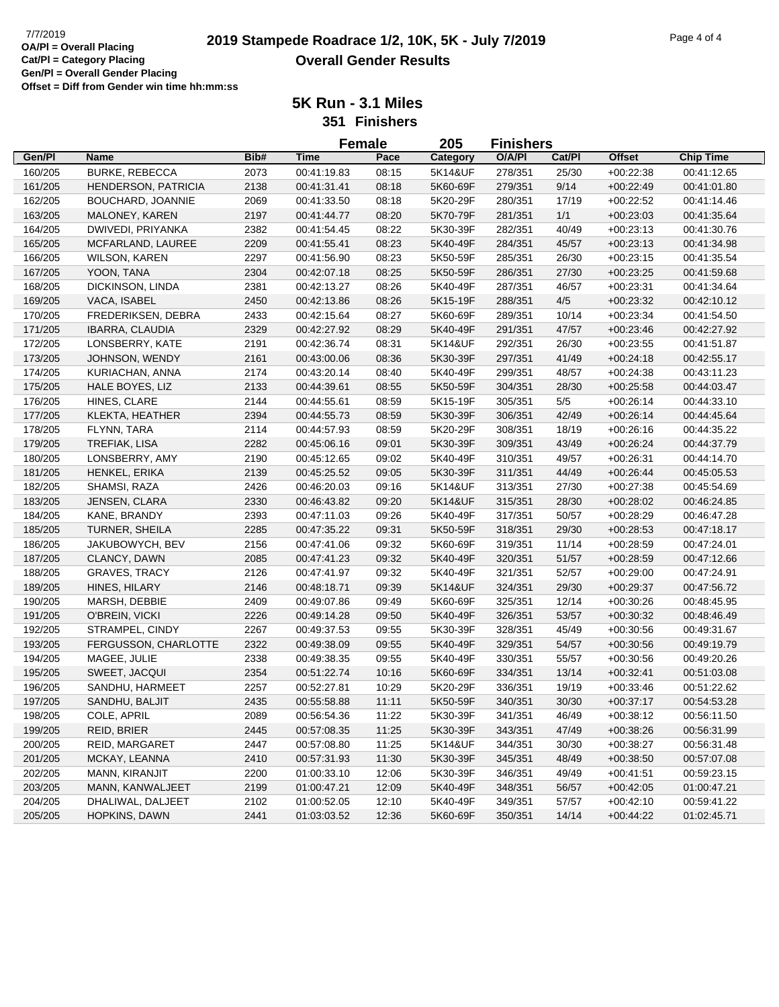|         |                            |      | <b>Female</b> |       | 205      | <b>Finishers</b> |        |               |                  |
|---------|----------------------------|------|---------------|-------|----------|------------------|--------|---------------|------------------|
| Gen/Pl  | <b>Name</b>                | Bib# | <b>Time</b>   | Pace  | Category | O/A/PI           | Cat/Pl | <b>Offset</b> | <b>Chip Time</b> |
| 160/205 | <b>BURKE, REBECCA</b>      | 2073 | 00:41:19.83   | 08:15 | 5K14&UF  | 278/351          | 25/30  | $+00:22:38$   | 00:41:12.65      |
| 161/205 | <b>HENDERSON, PATRICIA</b> | 2138 | 00:41:31.41   | 08:18 | 5K60-69F | 279/351          | 9/14   | $+00:22:49$   | 00:41:01.80      |
| 162/205 | BOUCHARD, JOANNIE          | 2069 | 00:41:33.50   | 08:18 | 5K20-29F | 280/351          | 17/19  | $+00:22:52$   | 00:41:14.46      |
| 163/205 | MALONEY, KAREN             | 2197 | 00:41:44.77   | 08:20 | 5K70-79F | 281/351          | 1/1    | $+00:23:03$   | 00:41:35.64      |
| 164/205 | DWIVEDI, PRIYANKA          | 2382 | 00:41:54.45   | 08:22 | 5K30-39F | 282/351          | 40/49  | $+00:23:13$   | 00:41:30.76      |
| 165/205 | MCFARLAND, LAUREE          | 2209 | 00:41:55.41   | 08:23 | 5K40-49F | 284/351          | 45/57  | $+00:23:13$   | 00:41:34.98      |
| 166/205 | <b>WILSON, KAREN</b>       | 2297 | 00:41:56.90   | 08:23 | 5K50-59F | 285/351          | 26/30  | $+00:23:15$   | 00:41:35.54      |
| 167/205 | YOON, TANA                 | 2304 | 00:42:07.18   | 08:25 | 5K50-59F | 286/351          | 27/30  | $+00:23:25$   | 00:41:59.68      |
| 168/205 | DICKINSON, LINDA           | 2381 | 00:42:13.27   | 08:26 | 5K40-49F | 287/351          | 46/57  | $+00:23:31$   | 00:41:34.64      |
| 169/205 | VACA, ISABEL               | 2450 | 00:42:13.86   | 08:26 | 5K15-19F | 288/351          | 4/5    | $+00:23:32$   | 00:42:10.12      |
| 170/205 | FREDERIKSEN, DEBRA         | 2433 | 00:42:15.64   | 08:27 | 5K60-69F | 289/351          | 10/14  | $+00:23:34$   | 00:41:54.50      |
| 171/205 | <b>IBARRA, CLAUDIA</b>     | 2329 | 00:42:27.92   | 08:29 | 5K40-49F | 291/351          | 47/57  | $+00:23:46$   | 00:42:27.92      |
| 172/205 | LONSBERRY, KATE            | 2191 | 00:42:36.74   | 08:31 | 5K14&UF  | 292/351          | 26/30  | $+00:23:55$   | 00:41:51.87      |
|         |                            |      |               |       |          |                  |        |               |                  |
| 173/205 | JOHNSON, WENDY             | 2161 | 00:43:00.06   | 08:36 | 5K30-39F | 297/351          | 41/49  | $+00:24:18$   | 00:42:55.17      |
| 174/205 | KURIACHAN, ANNA            | 2174 | 00:43:20.14   | 08:40 | 5K40-49F | 299/351          | 48/57  | $+00:24:38$   | 00:43:11.23      |
| 175/205 | HALE BOYES, LIZ            | 2133 | 00:44:39.61   | 08:55 | 5K50-59F | 304/351          | 28/30  | $+00:25:58$   | 00:44:03.47      |
| 176/205 | HINES, CLARE               | 2144 | 00:44:55.61   | 08:59 | 5K15-19F | 305/351          | $5/5$  | $+00:26:14$   | 00:44:33.10      |
| 177/205 | KLEKTA, HEATHER            | 2394 | 00:44:55.73   | 08:59 | 5K30-39F | 306/351          | 42/49  | $+00:26:14$   | 00:44:45.64      |
| 178/205 | FLYNN, TARA                | 2114 | 00:44:57.93   | 08:59 | 5K20-29F | 308/351          | 18/19  | $+00:26:16$   | 00:44:35.22      |
| 179/205 | TREFIAK, LISA              | 2282 | 00:45:06.16   | 09:01 | 5K30-39F | 309/351          | 43/49  | $+00:26:24$   | 00:44:37.79      |
| 180/205 | LONSBERRY, AMY             | 2190 | 00:45:12.65   | 09:02 | 5K40-49F | 310/351          | 49/57  | $+00:26:31$   | 00:44:14.70      |
| 181/205 | HENKEL, ERIKA              | 2139 | 00:45:25.52   | 09:05 | 5K30-39F | 311/351          | 44/49  | $+00:26:44$   | 00:45:05.53      |
| 182/205 | SHAMSI, RAZA               | 2426 | 00:46:20.03   | 09:16 | 5K14&UF  | 313/351          | 27/30  | $+00:27:38$   | 00:45:54.69      |
| 183/205 | JENSEN, CLARA              | 2330 | 00:46:43.82   | 09:20 | 5K14&UF  | 315/351          | 28/30  | $+00:28:02$   | 00:46:24.85      |
| 184/205 | KANE, BRANDY               | 2393 | 00:47:11.03   | 09:26 | 5K40-49F | 317/351          | 50/57  | $+00:28:29$   | 00:46:47.28      |
| 185/205 | TURNER, SHEILA             | 2285 | 00:47:35.22   | 09:31 | 5K50-59F | 318/351          | 29/30  | $+00:28:53$   | 00:47:18.17      |
| 186/205 | JAKUBOWYCH, BEV            | 2156 | 00:47:41.06   | 09:32 | 5K60-69F | 319/351          | 11/14  | $+00:28:59$   | 00:47:24.01      |
| 187/205 | CLANCY, DAWN               | 2085 | 00:47:41.23   | 09:32 | 5K40-49F | 320/351          | 51/57  | $+00:28:59$   | 00:47:12.66      |
| 188/205 | <b>GRAVES, TRACY</b>       | 2126 | 00:47:41.97   | 09:32 | 5K40-49F | 321/351          | 52/57  | $+00:29:00$   | 00:47:24.91      |
| 189/205 | HINES, HILARY              | 2146 | 00:48:18.71   | 09:39 | 5K14&UF  | 324/351          | 29/30  | $+00:29:37$   | 00:47:56.72      |
| 190/205 | MARSH, DEBBIE              | 2409 | 00:49:07.86   | 09:49 | 5K60-69F | 325/351          | 12/14  | $+00:30:26$   | 00:48:45.95      |
| 191/205 | O'BREIN, VICKI             | 2226 | 00:49:14.28   | 09:50 | 5K40-49F | 326/351          | 53/57  | $+00:30:32$   | 00:48:46.49      |
| 192/205 | STRAMPEL, CINDY            | 2267 | 00:49:37.53   | 09:55 | 5K30-39F | 328/351          | 45/49  | $+00:30:56$   | 00:49:31.67      |
| 193/205 | FERGUSSON, CHARLOTTE       | 2322 | 00:49:38.09   | 09:55 | 5K40-49F | 329/351          | 54/57  | $+00:30:56$   | 00:49:19.79      |
| 194/205 | MAGEE, JULIE               | 2338 | 00:49:38.35   | 09:55 | 5K40-49F | 330/351          | 55/57  | $+00:30:56$   | 00:49:20.26      |
| 195/205 | SWEET, JACQUI              | 2354 | 00:51:22.74   | 10:16 | 5K60-69F | 334/351          | 13/14  | $+00:32:41$   | 00:51:03.08      |
| 196/205 | SANDHU, HARMEET            | 2257 | 00:52:27.81   | 10:29 | 5K20-29F | 336/351          | 19/19  | $+00:33:46$   | 00:51:22.62      |
| 197/205 | SANDHU, BALJIT             | 2435 | 00:55:58.88   | 11:11 | 5K50-59F | 340/351          | 30/30  | $+00:37:17$   | 00:54:53.28      |
| 198/205 | COLE, APRIL                | 2089 | 00:56:54.36   | 11:22 | 5K30-39F | 341/351          | 46/49  | $+00:38:12$   | 00:56:11.50      |
| 199/205 | REID, BRIER                | 2445 | 00:57:08.35   | 11:25 | 5K30-39F | 343/351          | 47/49  | $+00:38:26$   | 00:56:31.99      |
| 200/205 | REID, MARGARET             | 2447 | 00:57:08.80   | 11:25 | 5K14&UF  | 344/351          | 30/30  | $+00:38:27$   | 00:56:31.48      |
| 201/205 | MCKAY, LEANNA              | 2410 | 00:57:31.93   | 11:30 | 5K30-39F | 345/351          | 48/49  | $+00:38:50$   | 00:57:07.08      |
| 202/205 | MANN, KIRANJIT             | 2200 | 01:00:33.10   | 12:06 | 5K30-39F | 346/351          | 49/49  | $+00:41:51$   | 00:59:23.15      |
| 203/205 | MANN, KANWALJEET           | 2199 | 01:00:47.21   | 12:09 | 5K40-49F | 348/351          | 56/57  | $+00:42:05$   | 01:00:47.21      |
| 204/205 | DHALIWAL, DALJEET          | 2102 | 01:00:52.05   | 12:10 | 5K40-49F | 349/351          | 57/57  | $+00:42:10$   | 00:59:41.22      |
|         |                            |      |               |       |          |                  |        |               |                  |
| 205/205 | HOPKINS, DAWN              | 2441 | 01:03:03.52   | 12:36 | 5K60-69F | 350/351          | 14/14  | $+00:44:22$   | 01:02:45.71      |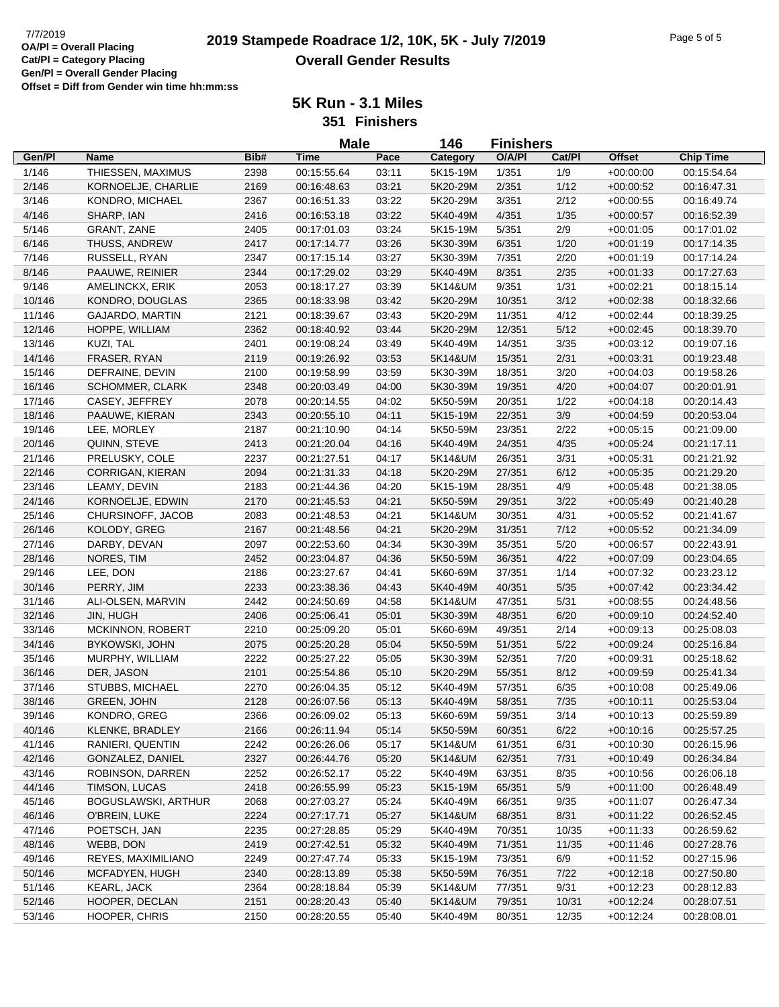**5K Run - 3.1 Miles**

**351 Finishers**

|        |                         |      | <b>Male</b> |       | 146      | <b>Finishers</b> |        |               |                  |
|--------|-------------------------|------|-------------|-------|----------|------------------|--------|---------------|------------------|
| Gen/Pl | Name                    | Bib# | Time        | Pace  | Category | O/A/PI           | Cat/PI | <b>Offset</b> | <b>Chip Time</b> |
| 1/146  | THIESSEN, MAXIMUS       | 2398 | 00:15:55.64 | 03:11 | 5K15-19M | 1/351            | 1/9    | $+00:00:00$   | 00:15:54.64      |
| 2/146  | KORNOELJE, CHARLIE      | 2169 | 00:16:48.63 | 03:21 | 5K20-29M | 2/351            | 1/12   | $+00:00:52$   | 00:16:47.31      |
| 3/146  | KONDRO, MICHAEL         | 2367 | 00:16:51.33 | 03:22 | 5K20-29M | 3/351            | 2/12   | $+00:00:55$   | 00:16:49.74      |
| 4/146  | SHARP, IAN              | 2416 | 00:16:53.18 | 03:22 | 5K40-49M | 4/351            | 1/35   | $+00:00:57$   | 00:16:52.39      |
| 5/146  | <b>GRANT, ZANE</b>      | 2405 | 00:17:01.03 | 03:24 | 5K15-19M | 5/351            | 2/9    | $+00:01:05$   | 00:17:01.02      |
| 6/146  | THUSS, ANDREW           | 2417 | 00:17:14.77 | 03:26 | 5K30-39M | 6/351            | 1/20   | $+00:01:19$   | 00:17:14.35      |
| 7/146  | RUSSELL, RYAN           | 2347 | 00:17:15.14 | 03:27 | 5K30-39M | 7/351            | 2/20   | $+00:01:19$   | 00:17:14.24      |
| 8/146  | PAAUWE, REINIER         | 2344 | 00:17:29.02 | 03:29 | 5K40-49M | 8/351            | 2/35   | $+00.01:33$   | 00:17:27.63      |
| 9/146  | AMELINCKX, ERIK         | 2053 | 00:18:17.27 | 03:39 | 5K14&UM  | 9/351            | 1/31   | $+00:02:21$   | 00:18:15.14      |
| 10/146 | KONDRO, DOUGLAS         | 2365 | 00:18:33.98 | 03:42 | 5K20-29M | 10/351           | 3/12   | $+00:02:38$   | 00:18:32.66      |
| 11/146 | <b>GAJARDO, MARTIN</b>  | 2121 | 00:18:39.67 | 03:43 | 5K20-29M | 11/351           | 4/12   | $+00:02:44$   | 00:18:39.25      |
| 12/146 | HOPPE, WILLIAM          | 2362 | 00:18:40.92 | 03:44 | 5K20-29M | 12/351           | 5/12   | $+00:02:45$   | 00:18:39.70      |
| 13/146 | KUZI, TAL               | 2401 | 00:19:08.24 | 03:49 | 5K40-49M | 14/351           | 3/35   | $+00:03:12$   | 00:19:07.16      |
| 14/146 | FRASER, RYAN            | 2119 | 00:19:26.92 | 03:53 | 5K14&UM  | 15/351           | 2/31   | $+00:03:31$   | 00:19:23.48      |
| 15/146 | DEFRAINE, DEVIN         | 2100 | 00:19:58.99 | 03:59 | 5K30-39M | 18/351           | 3/20   | $+00:04:03$   | 00:19:58.26      |
| 16/146 | SCHOMMER, CLARK         | 2348 | 00:20:03.49 | 04:00 | 5K30-39M | 19/351           | 4/20   | $+00:04:07$   | 00:20:01.91      |
| 17/146 | CASEY, JEFFREY          | 2078 | 00:20:14.55 | 04:02 | 5K50-59M | 20/351           | 1/22   | $+00.04:18$   | 00:20:14.43      |
| 18/146 | PAAUWE, KIERAN          | 2343 | 00:20:55.10 | 04:11 | 5K15-19M | 22/351           | $3/9$  | $+00:04:59$   | 00:20:53.04      |
| 19/146 | LEE, MORLEY             | 2187 | 00:21:10.90 | 04:14 | 5K50-59M | 23/351           | 2/22   | $+00:05:15$   | 00:21:09.00      |
| 20/146 | QUINN, STEVE            | 2413 | 00:21:20.04 | 04:16 | 5K40-49M | 24/351           | 4/35   | $+00:05:24$   | 00:21:17.11      |
| 21/146 | PRELUSKY, COLE          | 2237 | 00:21:27.51 | 04:17 | 5K14&UM  | 26/351           | 3/31   | $+00:05:31$   | 00:21:21.92      |
| 22/146 | CORRIGAN, KIERAN        | 2094 | 00:21:31.33 | 04:18 | 5K20-29M | 27/351           | 6/12   | $+00:05:35$   | 00:21:29.20      |
| 23/146 | LEAMY, DEVIN            | 2183 | 00:21:44.36 | 04:20 | 5K15-19M | 28/351           | 4/9    | $+00:05:48$   | 00:21:38.05      |
| 24/146 | KORNOELJE, EDWIN        | 2170 | 00:21:45.53 | 04:21 | 5K50-59M | 29/351           | 3/22   | $+00:05:49$   | 00:21:40.28      |
| 25/146 | CHURSINOFF, JACOB       | 2083 | 00:21:48.53 | 04:21 | 5K14&UM  | 30/351           | 4/31   | $+00:05:52$   | 00:21:41.67      |
| 26/146 | KOLODY, GREG            | 2167 | 00:21:48.56 | 04:21 | 5K20-29M | 31/351           | 7/12   | $+00:05:52$   | 00:21:34.09      |
| 27/146 | DARBY, DEVAN            | 2097 | 00:22:53.60 | 04:34 | 5K30-39M | 35/351           | 5/20   | $+00:06:57$   | 00:22:43.91      |
| 28/146 | NORES, TIM              | 2452 | 00:23:04.87 | 04:36 | 5K50-59M | 36/351           | 4/22   | $+00:07:09$   | 00:23:04.65      |
| 29/146 | LEE, DON                | 2186 | 00:23:27.67 | 04:41 | 5K60-69M | 37/351           | 1/14   | $+00:07:32$   | 00:23:23.12      |
| 30/146 | PERRY, JIM              | 2233 | 00:23:38.36 | 04:43 | 5K40-49M | 40/351           | 5/35   | $+00:07:42$   | 00:23:34.42      |
| 31/146 | ALI-OLSEN, MARVIN       | 2442 | 00:24:50.69 | 04:58 | 5K14&UM  | 47/351           | 5/31   | $+00:08:55$   | 00:24:48.56      |
| 32/146 | JIN, HUGH               | 2406 | 00:25:06.41 | 05:01 | 5K30-39M | 48/351           | 6/20   | $+00:09:10$   | 00:24:52.40      |
| 33/146 | <b>MCKINNON, ROBERT</b> | 2210 | 00:25:09.20 | 05:01 | 5K60-69M | 49/351           | 2/14   | $+00:09:13$   | 00:25:08.03      |
| 34/146 | <b>BYKOWSKI, JOHN</b>   | 2075 | 00:25:20.28 | 05:04 | 5K50-59M | 51/351           | 5/22   | $+00:09:24$   | 00:25:16.84      |
| 35/146 | MURPHY, WILLIAM         | 2222 | 00:25:27.22 | 05:05 | 5K30-39M | 52/351           | 7/20   | $+00:09:31$   | 00:25:18.62      |
| 36/146 | DER, JASON              | 2101 | 00:25:54.86 | 05:10 | 5K20-29M | 55/351           | 8/12   | $+00:09:59$   | 00:25:41.34      |
| 37/146 | STUBBS, MICHAEL         | 2270 | 00:26:04.35 | 05:12 | 5K40-49M | 57/351           | 6/35   | $+00.10.08$   | 00:25:49.06      |
| 38/146 | GREEN, JOHN             | 2128 | 00:26:07.56 | 05:13 | 5K40-49M | 58/351           | $7/35$ | $+00:10:11$   | 00:25:53.04      |
| 39/146 | KONDRO, GREG            | 2366 | 00:26:09.02 | 05:13 | 5K60-69M | 59/351           | 3/14   | $+00:10:13$   | 00:25:59.89      |
| 40/146 | KLENKE, BRADLEY         | 2166 | 00:26:11.94 | 05:14 | 5K50-59M | 60/351           | 6/22   | $+00:10:16$   | 00:25:57.25      |
| 41/146 | RANIERI, QUENTIN        | 2242 | 00:26:26.06 | 05:17 | 5K14&UM  | 61/351           | 6/31   | $+00:10:30$   | 00:26:15.96      |
| 42/146 | GONZALEZ, DANIEL        | 2327 | 00:26:44.76 | 05:20 | 5K14&UM  | 62/351           | 7/31   | $+00:10:49$   | 00:26:34.84      |
| 43/146 | ROBINSON, DARREN        | 2252 | 00:26:52.17 | 05:22 | 5K40-49M | 63/351           | 8/35   | $+00:10:56$   | 00:26:06.18      |
| 44/146 | TIMSON, LUCAS           | 2418 | 00:26:55.99 | 05:23 | 5K15-19M | 65/351           | 5/9    | $+00:11:00$   | 00:26:48.49      |
| 45/146 | BOGUSLAWSKI, ARTHUR     | 2068 | 00:27:03.27 | 05:24 | 5K40-49M | 66/351           | 9/35   | $+00:11:07$   | 00:26:47.34      |
| 46/146 | O'BREIN, LUKE           | 2224 | 00:27:17.71 | 05:27 | 5K14&UM  | 68/351           | 8/31   | $+00:11:22$   | 00:26:52.45      |
| 47/146 | POETSCH, JAN            | 2235 | 00:27:28.85 | 05:29 | 5K40-49M | 70/351           | 10/35  | $+00:11:33$   | 00:26:59.62      |
| 48/146 | WEBB, DON               | 2419 | 00:27:42.51 | 05:32 | 5K40-49M | 71/351           | 11/35  | $+00:11:46$   | 00:27:28.76      |
| 49/146 | REYES, MAXIMILIANO      | 2249 | 00:27:47.74 | 05:33 | 5K15-19M | 73/351           | 6/9    | $+00:11:52$   | 00:27:15.96      |
| 50/146 | MCFADYEN, HUGH          | 2340 | 00:28:13.89 | 05:38 | 5K50-59M | 76/351           | 7/22   | $+00:12:18$   | 00:27:50.80      |
| 51/146 | KEARL, JACK             | 2364 | 00:28:18.84 | 05:39 | 5K14&UM  | 77/351           | 9/31   | $+00:12:23$   | 00:28:12.83      |
| 52/146 | HOOPER, DECLAN          | 2151 | 00:28:20.43 | 05:40 | 5K14&UM  | 79/351           | 10/31  | $+00:12:24$   | 00:28:07.51      |
| 53/146 | HOOPER, CHRIS           | 2150 | 00:28:20.55 | 05:40 | 5K40-49M | 80/351           | 12/35  | $+00:12:24$   | 00:28:08.01      |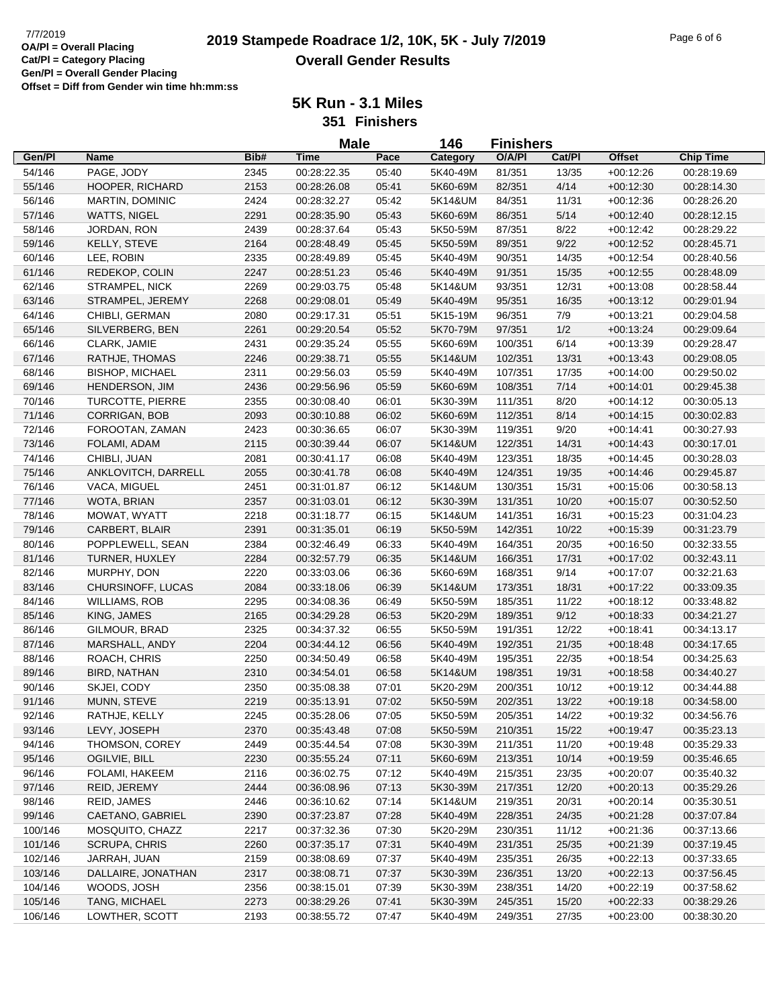## **2019 Stampede Roadrace 1/2, 10K, 5K - July 7/2019** 7/7/2019 Page 6 of 6 **Overall Gender Results**

**5K Run - 3.1 Miles**

**351 Finishers**

|         |                         |      | <b>Male</b> |       | 146      | <b>Finishers</b> |        |               |                  |
|---------|-------------------------|------|-------------|-------|----------|------------------|--------|---------------|------------------|
| Gen/Pl  | <b>Name</b>             | Bib# | <b>Time</b> | Pace  | Category | O/A/PI           | Cat/PI | <b>Offset</b> | <b>Chip Time</b> |
| 54/146  | PAGE, JODY              | 2345 | 00:28:22.35 | 05:40 | 5K40-49M | 81/351           | 13/35  | $+00:12:26$   | 00:28:19.69      |
| 55/146  | HOOPER, RICHARD         | 2153 | 00:28:26.08 | 05:41 | 5K60-69M | 82/351           | 4/14   | $+00:12:30$   | 00:28:14.30      |
| 56/146  | MARTIN, DOMINIC         | 2424 | 00:28:32.27 | 05:42 | 5K14&UM  | 84/351           | 11/31  | $+00:12:36$   | 00:28:26.20      |
| 57/146  | <b>WATTS, NIGEL</b>     | 2291 | 00:28:35.90 | 05:43 | 5K60-69M | 86/351           | 5/14   | $+00:12:40$   | 00:28:12.15      |
| 58/146  | JORDAN, RON             | 2439 | 00:28:37.64 | 05:43 | 5K50-59M | 87/351           | 8/22   | $+00:12:42$   | 00:28:29.22      |
| 59/146  | KELLY, STEVE            | 2164 | 00:28:48.49 | 05:45 | 5K50-59M | 89/351           | 9/22   | $+00:12:52$   | 00:28:45.71      |
| 60/146  | LEE, ROBIN              | 2335 | 00:28:49.89 | 05:45 | 5K40-49M | 90/351           | 14/35  | $+00:12:54$   | 00:28:40.56      |
| 61/146  | REDEKOP, COLIN          | 2247 | 00:28:51.23 | 05:46 | 5K40-49M | 91/351           | 15/35  | $+00:12:55$   | 00:28:48.09      |
| 62/146  | STRAMPEL, NICK          | 2269 | 00:29:03.75 | 05:48 | 5K14&UM  | 93/351           | 12/31  | $+00:13:08$   | 00:28:58.44      |
| 63/146  | STRAMPEL, JEREMY        | 2268 | 00:29:08.01 | 05:49 | 5K40-49M | 95/351           | 16/35  | $+00:13:12$   | 00:29:01.94      |
| 64/146  | CHIBLI, GERMAN          | 2080 | 00:29:17.31 | 05:51 | 5K15-19M | 96/351           | 7/9    | $+00:13:21$   | 00:29:04.58      |
| 65/146  | SILVERBERG, BEN         | 2261 | 00:29:20.54 | 05:52 | 5K70-79M | 97/351           | 1/2    | $+00:13:24$   | 00:29:09.64      |
| 66/146  | CLARK, JAMIE            | 2431 | 00:29:35.24 | 05:55 | 5K60-69M | 100/351          | 6/14   | $+00:13:39$   | 00:29:28.47      |
| 67/146  | RATHJE, THOMAS          | 2246 | 00:29:38.71 | 05:55 | 5K14&UM  | 102/351          | 13/31  | $+00:13:43$   | 00:29:08.05      |
| 68/146  | <b>BISHOP, MICHAEL</b>  | 2311 | 00:29:56.03 | 05:59 | 5K40-49M | 107/351          | 17/35  | $+00:14:00$   | 00:29:50.02      |
| 69/146  | HENDERSON, JIM          | 2436 | 00:29:56.96 | 05:59 | 5K60-69M | 108/351          | 7/14   | $+00:14:01$   | 00:29:45.38      |
| 70/146  | <b>TURCOTTE, PIERRE</b> | 2355 | 00:30:08.40 | 06:01 | 5K30-39M | 111/351          | 8/20   | $+00:14:12$   | 00:30:05.13      |
| 71/146  | <b>CORRIGAN, BOB</b>    | 2093 | 00:30:10.88 | 06:02 | 5K60-69M | 112/351          | 8/14   | $+00:14:15$   | 00:30:02.83      |
| 72/146  | FOROOTAN, ZAMAN         | 2423 | 00:30:36.65 | 06:07 | 5K30-39M | 119/351          | 9/20   | $+00:14:41$   | 00:30:27.93      |
| 73/146  | FOLAMI, ADAM            | 2115 | 00:30:39.44 | 06:07 | 5K14&UM  | 122/351          | 14/31  | $+00:14:43$   | 00:30:17.01      |
| 74/146  | CHIBLI, JUAN            | 2081 | 00:30:41.17 | 06:08 | 5K40-49M | 123/351          | 18/35  | $+00:14:45$   | 00:30:28.03      |
| 75/146  | ANKLOVITCH, DARRELL     | 2055 | 00:30:41.78 | 06:08 | 5K40-49M | 124/351          | 19/35  | $+00:14:46$   | 00:29:45.87      |
| 76/146  | VACA, MIGUEL            | 2451 | 00:31:01.87 | 06:12 | 5K14&UM  | 130/351          | 15/31  | $+00:15:06$   | 00:30:58.13      |
| 77/146  | WOTA, BRIAN             | 2357 | 00:31:03.01 | 06:12 | 5K30-39M | 131/351          | 10/20  | $+00:15:07$   | 00:30:52.50      |
| 78/146  | MOWAT, WYATT            | 2218 | 00:31:18.77 | 06:15 | 5K14&UM  | 141/351          | 16/31  | $+00:15:23$   | 00:31:04.23      |
| 79/146  | CARBERT, BLAIR          | 2391 | 00:31:35.01 | 06:19 | 5K50-59M | 142/351          | 10/22  | $+00:15:39$   | 00:31:23.79      |
| 80/146  | POPPLEWELL, SEAN        | 2384 | 00:32:46.49 | 06:33 | 5K40-49M | 164/351          | 20/35  | $+00:16:50$   | 00:32:33.55      |
| 81/146  | TURNER, HUXLEY          | 2284 | 00:32:57.79 | 06:35 | 5K14&UM  | 166/351          | 17/31  | $+00:17:02$   | 00:32:43.11      |
| 82/146  | MURPHY, DON             | 2220 | 00:33:03.06 | 06:36 | 5K60-69M | 168/351          | 9/14   | $+00:17:07$   | 00:32:21.63      |
| 83/146  | CHURSINOFF, LUCAS       | 2084 | 00:33:18.06 | 06:39 | 5K14&UM  | 173/351          | 18/31  | $+00:17:22$   | 00:33:09.35      |
| 84/146  | <b>WILLIAMS, ROB</b>    | 2295 | 00:34:08.36 | 06:49 | 5K50-59M | 185/351          | 11/22  | $+00:18:12$   | 00:33:48.82      |
| 85/146  | KING, JAMES             | 2165 | 00:34:29.28 | 06:53 | 5K20-29M | 189/351          | 9/12   | $+00:18:33$   | 00:34:21.27      |
| 86/146  | GILMOUR, BRAD           | 2325 | 00:34:37.32 | 06:55 | 5K50-59M | 191/351          | 12/22  | $+00:18:41$   | 00:34:13.17      |
| 87/146  | MARSHALL, ANDY          | 2204 | 00:34:44.12 | 06:56 | 5K40-49M | 192/351          | 21/35  | $+00:18:48$   | 00:34:17.65      |
| 88/146  | ROACH, CHRIS            | 2250 | 00:34:50.49 | 06:58 | 5K40-49M | 195/351          | 22/35  | $+00:18:54$   | 00:34:25.63      |
| 89/146  | BIRD, NATHAN            | 2310 | 00:34:54.01 | 06:58 | 5K14&UM  | 198/351          | 19/31  | $+00:18:58$   | 00:34:40.27      |
| 90/146  | SKJEI, CODY             | 2350 | 00:35:08.38 | 07:01 | 5K20-29M | 200/351          | 10/12  | $+00:19:12$   | 00:34:44.88      |
| 91/146  | MUNN, STEVE             | 2219 | 00:35:13.91 | 07:02 | 5K50-59M | 202/351          | 13/22  | $+00:19:18$   | 00:34:58.00      |
| 92/146  | RATHJE, KELLY           | 2245 | 00:35:28.06 | 07:05 | 5K50-59M | 205/351          | 14/22  | $+00:19:32$   | 00:34:56.76      |
| 93/146  | LEVY, JOSEPH            | 2370 | 00:35:43.48 | 07:08 | 5K50-59M | 210/351          | 15/22  | $+00:19:47$   | 00:35:23.13      |
| 94/146  | THOMSON, COREY          | 2449 | 00:35:44.54 | 07:08 | 5K30-39M | 211/351          | 11/20  | $+00:19:48$   | 00:35:29.33      |
| 95/146  | OGILVIE, BILL           | 2230 | 00:35:55.24 | 07:11 | 5K60-69M | 213/351          | 10/14  | $+00:19:59$   | 00:35:46.65      |
| 96/146  | FOLAMI, HAKEEM          | 2116 | 00:36:02.75 | 07:12 | 5K40-49M | 215/351          | 23/35  | $+00:20:07$   | 00:35:40.32      |
| 97/146  | REID, JEREMY            | 2444 | 00:36:08.96 | 07:13 | 5K30-39M | 217/351          | 12/20  | $+00:20:13$   | 00:35:29.26      |
| 98/146  | REID, JAMES             | 2446 | 00:36:10.62 | 07:14 | 5K14&UM  | 219/351          | 20/31  | $+00:20:14$   | 00:35:30.51      |
| 99/146  | CAETANO, GABRIEL        | 2390 | 00:37:23.87 | 07:28 | 5K40-49M | 228/351          | 24/35  | $+00:21:28$   | 00:37:07.84      |
| 100/146 | MOSQUITO, CHAZZ         | 2217 | 00:37:32.36 | 07:30 | 5K20-29M | 230/351          | 11/12  | $+00:21:36$   | 00:37:13.66      |
| 101/146 | <b>SCRUPA, CHRIS</b>    | 2260 | 00:37:35.17 | 07:31 | 5K40-49M | 231/351          | 25/35  | $+00:21:39$   | 00:37:19.45      |
| 102/146 | JARRAH, JUAN            | 2159 | 00:38:08.69 | 07:37 | 5K40-49M | 235/351          | 26/35  | $+00:22:13$   | 00:37:33.65      |
| 103/146 | DALLAIRE, JONATHAN      | 2317 | 00:38:08.71 | 07:37 | 5K30-39M | 236/351          | 13/20  | $+00:22:13$   | 00:37:56.45      |
| 104/146 | WOODS, JOSH             | 2356 | 00:38:15.01 | 07:39 | 5K30-39M | 238/351          | 14/20  | $+00:22:19$   | 00:37:58.62      |
| 105/146 | TANG, MICHAEL           | 2273 | 00:38:29.26 | 07:41 | 5K30-39M | 245/351          | 15/20  | $+00:22:33$   | 00:38:29.26      |
| 106/146 | LOWTHER, SCOTT          | 2193 | 00:38:55.72 | 07:47 | 5K40-49M | 249/351          | 27/35  | $+00:23:00$   | 00:38:30.20      |